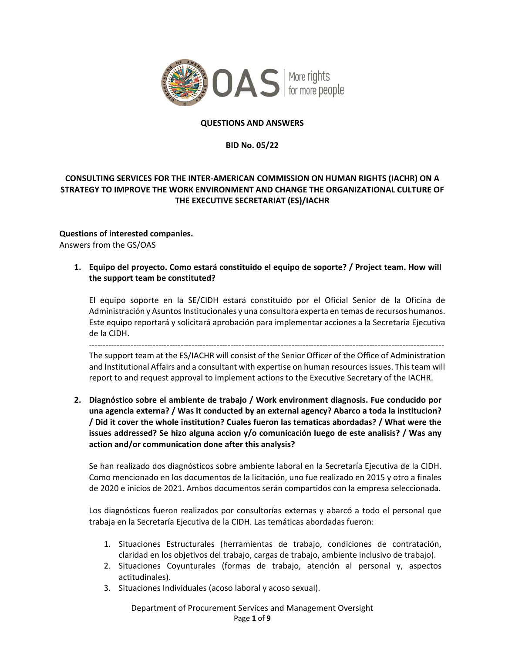

#### **QUESTIONS AND ANSWERS**

#### **BID No. 05/22**

# **CONSULTING SERVICES FOR THE INTER‐AMERICAN COMMISSION ON HUMAN RIGHTS (IACHR) ON A STRATEGY TO IMPROVE THE WORK ENVIRONMENT AND CHANGE THE ORGANIZATIONAL CULTURE OF THE EXECUTIVE SECRETARIAT (ES)/IACHR**

# **Questions of interested companies.**

Answers from the GS/OAS

### **1. Equipo del proyecto. Como estará constituido el equipo de soporte? / Project team. How will the support team be constituted?**

El equipo soporte en la SE/CIDH estará constituido por el Oficial Senior de la Oficina de Administración y Asuntos Institucionales y una consultora experta en temas de recursos humanos. Este equipo reportará y solicitará aprobación para implementar acciones a la Secretaria Ejecutiva de la CIDH.

‐‐‐‐‐‐‐‐‐‐‐‐‐‐‐‐‐‐‐‐‐‐‐‐‐‐‐‐‐‐‐‐‐‐‐‐‐‐‐‐‐‐‐‐‐‐‐‐‐‐‐‐‐‐‐‐‐‐‐‐‐‐‐‐‐‐‐‐‐‐‐‐‐‐‐‐‐‐‐‐‐‐‐‐‐‐‐‐‐‐‐‐‐‐‐‐‐‐‐‐‐‐‐‐‐‐‐‐‐‐‐‐‐‐‐‐‐‐‐‐‐‐‐‐‐‐‐‐

The support team at the ES/IACHR will consist of the Senior Officer of the Office of Administration and Institutional Affairs and a consultant with expertise on human resources issues. This team will report to and request approval to implement actions to the Executive Secretary of the IACHR.

**2. Diagnóstico sobre el ambiente de trabajo / Work environment diagnosis. Fue conducido por una agencia externa? / Was it conducted by an external agency? Abarco a toda la institucion? / Did it cover the whole institution? Cuales fueron las tematicas abordadas? / What were the issues addressed? Se hizo alguna accion y/o comunicación luego de este analisis? / Was any action and/or communication done after this analysis?** 

Se han realizado dos diagnósticos sobre ambiente laboral en la Secretaría Ejecutiva de la CIDH. Como mencionado en los documentos de la licitación, uno fue realizado en 2015 y otro a finales de 2020 e inicios de 2021. Ambos documentos serán compartidos con la empresa seleccionada.

Los diagnósticos fueron realizados por consultorías externas y abarcó a todo el personal que trabaja en la Secretaría Ejecutiva de la CIDH. Las temáticas abordadas fueron:

- 1. Situaciones Estructurales (herramientas de trabajo, condiciones de contratación, claridad en los objetivos del trabajo, cargas de trabajo, ambiente inclusivo de trabajo).
- 2. Situaciones Coyunturales (formas de trabajo, atención al personal y, aspectos actitudinales).
- 3. Situaciones Individuales (acoso laboral y acoso sexual).

Department of Procurement Services and Management Oversight Page **1** of **9**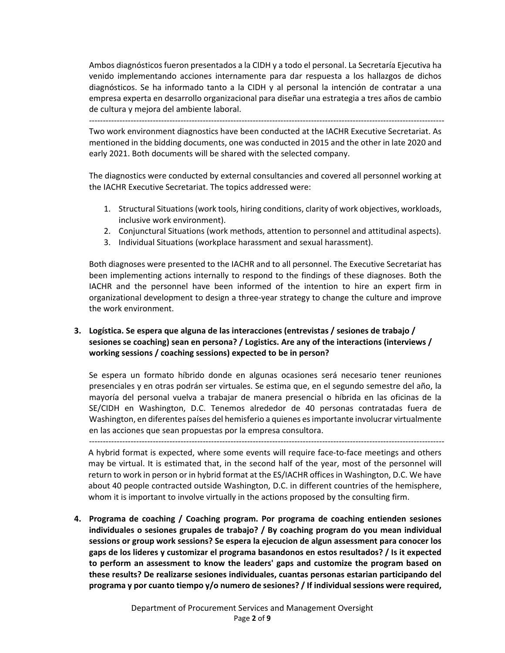Ambos diagnósticos fueron presentados a la CIDH y a todo el personal. La Secretaría Ejecutiva ha venido implementando acciones internamente para dar respuesta a los hallazgos de dichos diagnósticos. Se ha informado tanto a la CIDH y al personal la intención de contratar a una empresa experta en desarrollo organizacional para diseñar una estrategia a tres años de cambio de cultura y mejora del ambiente laboral.

‐‐‐‐‐‐‐‐‐‐‐‐‐‐‐‐‐‐‐‐‐‐‐‐‐‐‐‐‐‐‐‐‐‐‐‐‐‐‐‐‐‐‐‐‐‐‐‐‐‐‐‐‐‐‐‐‐‐‐‐‐‐‐‐‐‐‐‐‐‐‐‐‐‐‐‐‐‐‐‐‐‐‐‐‐‐‐‐‐‐‐‐‐‐‐‐‐‐‐‐‐‐‐‐‐‐‐‐‐‐‐‐‐‐‐‐‐‐‐‐‐‐‐‐‐‐‐‐ Two work environment diagnostics have been conducted at the IACHR Executive Secretariat. As mentioned in the bidding documents, one was conducted in 2015 and the other in late 2020 and early 2021. Both documents will be shared with the selected company.

The diagnostics were conducted by external consultancies and covered all personnel working at the IACHR Executive Secretariat. The topics addressed were:

- 1. Structural Situations (work tools, hiring conditions, clarity of work objectives, workloads, inclusive work environment).
- 2. Conjunctural Situations (work methods, attention to personnel and attitudinal aspects).
- 3. Individual Situations (workplace harassment and sexual harassment).

Both diagnoses were presented to the IACHR and to all personnel. The Executive Secretariat has been implementing actions internally to respond to the findings of these diagnoses. Both the IACHR and the personnel have been informed of the intention to hire an expert firm in organizational development to design a three‐year strategy to change the culture and improve the work environment.

### **3. Logística. Se espera que alguna de las interacciones (entrevistas / sesiones de trabajo / sesiones se coaching) sean en persona? / Logistics. Are any of the interactions (interviews / working sessions / coaching sessions) expected to be in person?**

Se espera un formato híbrido donde en algunas ocasiones será necesario tener reuniones presenciales y en otras podrán ser virtuales. Se estima que, en el segundo semestre del año, la mayoría del personal vuelva a trabajar de manera presencial o híbrida en las oficinas de la SE/CIDH en Washington, D.C. Tenemos alrededor de 40 personas contratadas fuera de Washington, en diferentes países del hemisferio a quienes es importante involucrar virtualmente en las acciones que sean propuestas por la empresa consultora.

‐‐‐‐‐‐‐‐‐‐‐‐‐‐‐‐‐‐‐‐‐‐‐‐‐‐‐‐‐‐‐‐‐‐‐‐‐‐‐‐‐‐‐‐‐‐‐‐‐‐‐‐‐‐‐‐‐‐‐‐‐‐‐‐‐‐‐‐‐‐‐‐‐‐‐‐‐‐‐‐‐‐‐‐‐‐‐‐‐‐‐‐‐‐‐‐‐‐‐‐‐‐‐‐‐‐‐‐‐‐‐‐‐‐‐‐‐‐‐‐‐‐‐‐‐‐‐‐

A hybrid format is expected, where some events will require face‐to‐face meetings and others may be virtual. It is estimated that, in the second half of the year, most of the personnel will return to work in person or in hybrid format at the ES/IACHR offices in Washington, D.C. We have about 40 people contracted outside Washington, D.C. in different countries of the hemisphere, whom it is important to involve virtually in the actions proposed by the consulting firm.

**4. Programa de coaching / Coaching program. Por programa de coaching entienden sesiones individuales o sesiones grupales de trabajo? / By coaching program do you mean individual sessions or group work sessions? Se espera la ejecucion de algun assessment para conocer los gaps de los lideres y customizar el programa basandonos en estos resultados? / Is it expected to perform an assessment to know the leaders' gaps and customize the program based on these results? De realizarse sesiones individuales, cuantas personas estarian participando del programa y por cuanto tiempo y/o numero de sesiones? / If individual sessions were required,**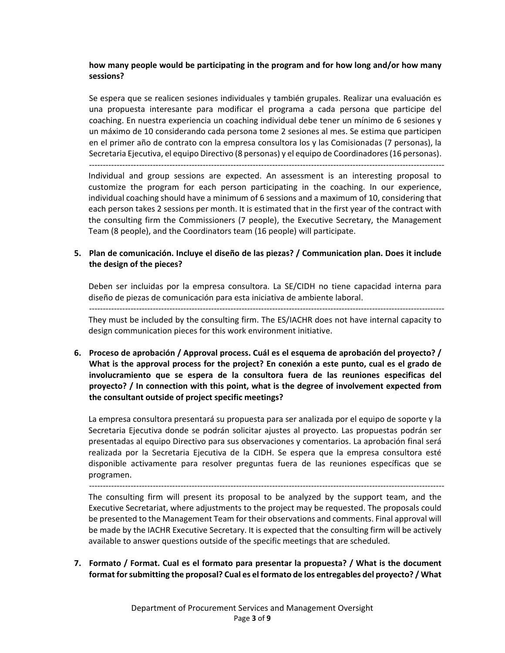#### **how many people would be participating in the program and for how long and/or how many sessions?**

Se espera que se realicen sesiones individuales y también grupales. Realizar una evaluación es una propuesta interesante para modificar el programa a cada persona que participe del coaching. En nuestra experiencia un coaching individual debe tener un mínimo de 6 sesiones y un máximo de 10 considerando cada persona tome 2 sesiones al mes. Se estima que participen en el primer año de contrato con la empresa consultora los y las Comisionadas (7 personas), la Secretaria Ejecutiva, el equipo Directivo (8 personas) y el equipo de Coordinadores (16 personas).

‐‐‐‐‐‐‐‐‐‐‐‐‐‐‐‐‐‐‐‐‐‐‐‐‐‐‐‐‐‐‐‐‐‐‐‐‐‐‐‐‐‐‐‐‐‐‐‐‐‐‐‐‐‐‐‐‐‐‐‐‐‐‐‐‐‐‐‐‐‐‐‐‐‐‐‐‐‐‐‐‐‐‐‐‐‐‐‐‐‐‐‐‐‐‐‐‐‐‐‐‐‐‐‐‐‐‐‐‐‐‐‐‐‐‐‐‐‐‐‐‐‐‐‐‐‐‐‐ Individual and group sessions are expected. An assessment is an interesting proposal to customize the program for each person participating in the coaching. In our experience, individual coaching should have a minimum of 6 sessions and a maximum of 10, considering that each person takes 2 sessions per month. It is estimated that in the first year of the contract with the consulting firm the Commissioners (7 people), the Executive Secretary, the Management Team (8 people), and the Coordinators team (16 people) will participate.

#### **5. Plan de comunicación. Incluye el diseño de las piezas? / Communication plan. Does it include the design of the pieces?**

Deben ser incluidas por la empresa consultora. La SE/CIDH no tiene capacidad interna para diseño de piezas de comunicación para esta iniciativa de ambiente laboral.

They must be included by the consulting firm. The ES/IACHR does not have internal capacity to design communication pieces for this work environment initiative.

**6. Proceso de aprobación / Approval process. Cuál es el esquema de aprobación del proyecto? / What is the approval process for the project? En conexión a este punto, cual es el grado de involucramiento que se espera de la consultora fuera de las reuniones especificas del proyecto? / In connection with this point, what is the degree of involvement expected from the consultant outside of project specific meetings?** 

La empresa consultora presentará su propuesta para ser analizada por el equipo de soporte y la Secretaria Ejecutiva donde se podrán solicitar ajustes al proyecto. Las propuestas podrán ser presentadas al equipo Directivo para sus observaciones y comentarios. La aprobación final será realizada por la Secretaria Ejecutiva de la CIDH. Se espera que la empresa consultora esté disponible activamente para resolver preguntas fuera de las reuniones específicas que se programen.

‐‐‐‐‐‐‐‐‐‐‐‐‐‐‐‐‐‐‐‐‐‐‐‐‐‐‐‐‐‐‐‐‐‐‐‐‐‐‐‐‐‐‐‐‐‐‐‐‐‐‐‐‐‐‐‐‐‐‐‐‐‐‐‐‐‐‐‐‐‐‐‐‐‐‐‐‐‐‐‐‐‐‐‐‐‐‐‐‐‐‐‐‐‐‐‐‐‐‐‐‐‐‐‐‐‐‐‐‐‐‐‐‐‐‐‐‐‐‐‐‐‐‐‐‐‐‐‐

The consulting firm will present its proposal to be analyzed by the support team, and the Executive Secretariat, where adjustments to the project may be requested. The proposals could be presented to the Management Team for their observations and comments. Final approval will be made by the IACHR Executive Secretary. It is expected that the consulting firm will be actively available to answer questions outside of the specific meetings that are scheduled.

**7. Formato / Format. Cual es el formato para presentar la propuesta? / What is the document format for submitting the proposal? Cual es el formato de los entregables del proyecto? / What**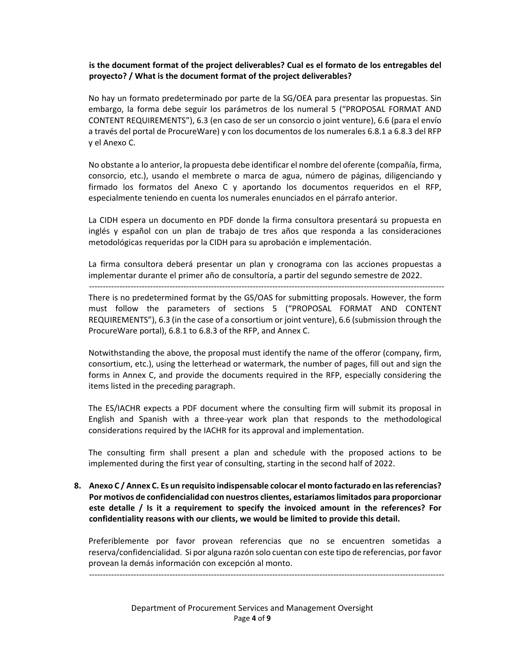#### **is the document format of the project deliverables? Cual es el formato de los entregables del proyecto? / What is the document format of the project deliverables?**

No hay un formato predeterminado por parte de la SG/OEA para presentar las propuestas. Sin embargo, la forma debe seguir los parámetros de los numeral 5 ("PROPOSAL FORMAT AND CONTENT REQUIREMENTS"), 6.3 (en caso de ser un consorcio o joint venture), 6.6 (para el envío a través del portal de ProcureWare) y con los documentos de los numerales 6.8.1 a 6.8.3 del RFP y el Anexo C.

No obstante a lo anterior, la propuesta debe identificar el nombre del oferente (compañía, firma, consorcio, etc.), usando el membrete o marca de agua, número de páginas, diligenciando y firmado los formatos del Anexo C y aportando los documentos requeridos en el RFP, especialmente teniendo en cuenta los numerales enunciados en el párrafo anterior.

La CIDH espera un documento en PDF donde la firma consultora presentará su propuesta en inglés y español con un plan de trabajo de tres años que responda a las consideraciones metodológicas requeridas por la CIDH para su aprobación e implementación.

La firma consultora deberá presentar un plan y cronograma con las acciones propuestas a implementar durante el primer año de consultoría, a partir del segundo semestre de 2022.

‐‐‐‐‐‐‐‐‐‐‐‐‐‐‐‐‐‐‐‐‐‐‐‐‐‐‐‐‐‐‐‐‐‐‐‐‐‐‐‐‐‐‐‐‐‐‐‐‐‐‐‐‐‐‐‐‐‐‐‐‐‐‐‐‐‐‐‐‐‐‐‐‐‐‐‐‐‐‐‐‐‐‐‐‐‐‐‐‐‐‐‐‐‐‐‐‐‐‐‐‐‐‐‐‐‐‐‐‐‐‐‐‐‐‐‐‐‐‐‐‐‐‐‐‐‐‐‐ There is no predetermined format by the GS/OAS for submitting proposals. However, the form must follow the parameters of sections 5 ("PROPOSAL FORMAT AND CONTENT

REQUIREMENTS"), 6.3 (in the case of a consortium or joint venture), 6.6 (submission through the ProcureWare portal), 6.8.1 to 6.8.3 of the RFP, and Annex C.

Notwithstanding the above, the proposal must identify the name of the offeror (company, firm, consortium, etc.), using the letterhead or watermark, the number of pages, fill out and sign the forms in Annex C, and provide the documents required in the RFP, especially considering the items listed in the preceding paragraph.

The ES/IACHR expects a PDF document where the consulting firm will submit its proposal in English and Spanish with a three‐year work plan that responds to the methodological considerations required by the IACHR for its approval and implementation.

The consulting firm shall present a plan and schedule with the proposed actions to be implemented during the first year of consulting, starting in the second half of 2022.

**8. Anexo C / Annex C. Es un requisito indispensable colocar el monto facturado en las referencias? Por motivos de confidencialidad con nuestros clientes, estariamos limitados para proporcionar este detalle / Is it a requirement to specify the invoiced amount in the references? For confidentiality reasons with our clients, we would be limited to provide this detail.** 

Preferiblemente por favor provean referencias que no se encuentren sometidas a reserva/confidencialidad. Si por alguna razón solo cuentan con este tipo de referencias, por favor provean la demás información con excepción al monto.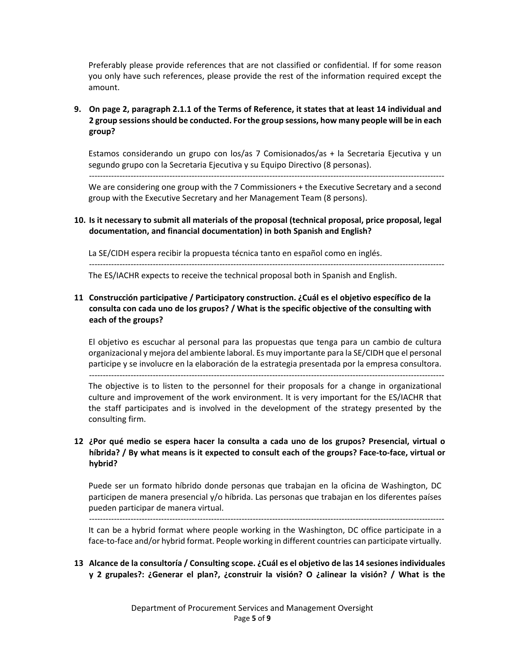Preferably please provide references that are not classified or confidential. If for some reason you only have such references, please provide the rest of the information required except the amount.

# **9. On page 2, paragraph 2.1.1 of the Terms of Reference, it states that at least 14 individual and 2 group sessions should be conducted. For the group sessions, how many people will be in each group?**

Estamos considerando un grupo con los/as 7 Comisionados/as + la Secretaria Ejecutiva y un segundo grupo con la Secretaria Ejecutiva y su Equipo Directivo (8 personas).

We are considering one group with the 7 Commissioners + the Executive Secretary and a second group with the Executive Secretary and her Management Team (8 persons).

### **10. Is it necessary to submit all materials of the proposal (technical proposal, price proposal, legal documentation, and financial documentation) in both Spanish and English?**

La SE/CIDH espera recibir la propuesta técnica tanto en español como en inglés. ‐‐‐‐‐‐‐‐‐‐‐‐‐‐‐‐‐‐‐‐‐‐‐‐‐‐‐‐‐‐‐‐‐‐‐‐‐‐‐‐‐‐‐‐‐‐‐‐‐‐‐‐‐‐‐‐‐‐‐‐‐‐‐‐‐‐‐‐‐‐‐‐‐‐‐‐‐‐‐‐‐‐‐‐‐‐‐‐‐‐‐‐‐‐‐‐‐‐‐‐‐‐‐‐‐‐‐‐‐‐‐‐‐‐‐‐‐‐‐‐‐‐‐‐‐‐‐‐

‐‐‐‐‐‐‐‐‐‐‐‐‐‐‐‐‐‐‐‐‐‐‐‐‐‐‐‐‐‐‐‐‐‐‐‐‐‐‐‐‐‐‐‐‐‐‐‐‐‐‐‐‐‐‐‐‐‐‐‐‐‐‐‐‐‐‐‐‐‐‐‐‐‐‐‐‐‐‐‐‐‐‐‐‐‐‐‐‐‐‐‐‐‐‐‐‐‐‐‐‐‐‐‐‐‐‐‐‐‐‐‐‐‐‐‐‐‐‐‐‐‐‐‐‐‐‐‐

The ES/IACHR expects to receive the technical proposal both in Spanish and English.

# **11 Construcción participative / Participatory construction. ¿Cuál es el objetivo específico de la consulta con cada uno de los grupos? / What is the specific objective of the consulting with each of the groups?**

El objetivo es escuchar al personal para las propuestas que tenga para un cambio de cultura organizacional y mejora del ambiente laboral. Es muy importante para la SE/CIDH que el personal participe y se involucre en la elaboración de la estrategia presentada por la empresa consultora.

‐‐‐‐‐‐‐‐‐‐‐‐‐‐‐‐‐‐‐‐‐‐‐‐‐‐‐‐‐‐‐‐‐‐‐‐‐‐‐‐‐‐‐‐‐‐‐‐‐‐‐‐‐‐‐‐‐‐‐‐‐‐‐‐‐‐‐‐‐‐‐‐‐‐‐‐‐‐‐‐‐‐‐‐‐‐‐‐‐‐‐‐‐‐‐‐‐‐‐‐‐‐‐‐‐‐‐‐‐‐‐‐‐‐‐‐‐‐‐‐‐‐‐‐‐‐‐‐

The objective is to listen to the personnel for their proposals for a change in organizational culture and improvement of the work environment. It is very important for the ES/IACHR that the staff participates and is involved in the development of the strategy presented by the consulting firm.

### **12 ¿Por qué medio se espera hacer la consulta a cada uno de los grupos? Presencial, virtual o híbrida? / By what means is it expected to consult each of the groups? Face‐to‐face, virtual or hybrid?**

Puede ser un formato híbrido donde personas que trabajan en la oficina de Washington, DC participen de manera presencial y/o híbrida. Las personas que trabajan en los diferentes países pueden participar de manera virtual.

‐‐‐‐‐‐‐‐‐‐‐‐‐‐‐‐‐‐‐‐‐‐‐‐‐‐‐‐‐‐‐‐‐‐‐‐‐‐‐‐‐‐‐‐‐‐‐‐‐‐‐‐‐‐‐‐‐‐‐‐‐‐‐‐‐‐‐‐‐‐‐‐‐‐‐‐‐‐‐‐‐‐‐‐‐‐‐‐‐‐‐‐‐‐‐‐‐‐‐‐‐‐‐‐‐‐‐‐‐‐‐‐‐‐‐‐‐‐‐‐‐‐‐‐‐‐‐‐

It can be a hybrid format where people working in the Washington, DC office participate in a face-to-face and/or hybrid format. People working in different countries can participate virtually.

**13 Alcance de la consultoría / Consulting scope. ¿Cuál es el objetivo de las 14 sesiones individuales y 2 grupales?: ¿Generar el plan?, ¿construir la visión? O ¿alinear la visión? / What is the**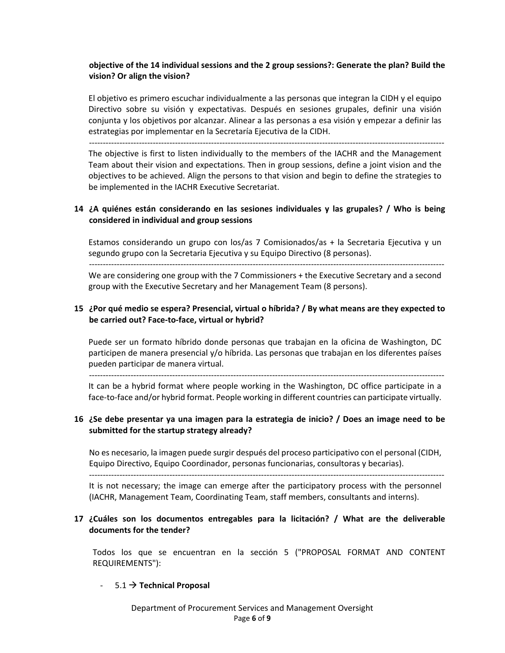### **objective of the 14 individual sessions and the 2 group sessions?: Generate the plan? Build the vision? Or align the vision?**

El objetivo es primero escuchar individualmente a las personas que integran la CIDH y el equipo Directivo sobre su visión y expectativas. Después en sesiones grupales, definir una visión conjunta y los objetivos por alcanzar. Alinear a las personas a esa visión y empezar a definir las estrategias por implementar en la Secretaría Ejecutiva de la CIDH.

‐‐‐‐‐‐‐‐‐‐‐‐‐‐‐‐‐‐‐‐‐‐‐‐‐‐‐‐‐‐‐‐‐‐‐‐‐‐‐‐‐‐‐‐‐‐‐‐‐‐‐‐‐‐‐‐‐‐‐‐‐‐‐‐‐‐‐‐‐‐‐‐‐‐‐‐‐‐‐‐‐‐‐‐‐‐‐‐‐‐‐‐‐‐‐‐‐‐‐‐‐‐‐‐‐‐‐‐‐‐‐‐‐‐‐‐‐‐‐‐‐‐‐‐‐‐‐‐

The objective is first to listen individually to the members of the IACHR and the Management Team about their vision and expectations. Then in group sessions, define a joint vision and the objectives to be achieved. Align the persons to that vision and begin to define the strategies to be implemented in the IACHR Executive Secretariat.

### **14 ¿A quiénes están considerando en las sesiones individuales y las grupales? / Who is being considered in individual and group sessions**

Estamos considerando un grupo con los/as 7 Comisionados/as + la Secretaria Ejecutiva y un segundo grupo con la Secretaria Ejecutiva y su Equipo Directivo (8 personas).

‐‐‐‐‐‐‐‐‐‐‐‐‐‐‐‐‐‐‐‐‐‐‐‐‐‐‐‐‐‐‐‐‐‐‐‐‐‐‐‐‐‐‐‐‐‐‐‐‐‐‐‐‐‐‐‐‐‐‐‐‐‐‐‐‐‐‐‐‐‐‐‐‐‐‐‐‐‐‐‐‐‐‐‐‐‐‐‐‐‐‐‐‐‐‐‐‐‐‐‐‐‐‐‐‐‐‐‐‐‐‐‐‐‐‐‐‐‐‐‐‐‐‐‐‐‐‐‐

We are considering one group with the 7 Commissioners + the Executive Secretary and a second group with the Executive Secretary and her Management Team (8 persons).

### **15 ¿Por qué medio se espera? Presencial, virtual o híbrida? / By what means are they expected to be carried out? Face‐to‐face, virtual or hybrid?**

Puede ser un formato híbrido donde personas que trabajan en la oficina de Washington, DC participen de manera presencial y/o híbrida. Las personas que trabajan en los diferentes países pueden participar de manera virtual.

‐‐‐‐‐‐‐‐‐‐‐‐‐‐‐‐‐‐‐‐‐‐‐‐‐‐‐‐‐‐‐‐‐‐‐‐‐‐‐‐‐‐‐‐‐‐‐‐‐‐‐‐‐‐‐‐‐‐‐‐‐‐‐‐‐‐‐‐‐‐‐‐‐‐‐‐‐‐‐‐‐‐‐‐‐‐‐‐‐‐‐‐‐‐‐‐‐‐‐‐‐‐‐‐‐‐‐‐‐‐‐‐‐‐‐‐‐‐‐‐‐‐‐‐‐‐‐‐

It can be a hybrid format where people working in the Washington, DC office participate in a face-to-face and/or hybrid format. People working in different countries can participate virtually.

### **16 ¿Se debe presentar ya una imagen para la estrategia de inicio? / Does an image need to be submitted for the startup strategy already?**

No es necesario, la imagen puede surgir después del proceso participativo con el personal (CIDH, Equipo Directivo, Equipo Coordinador, personas funcionarias, consultoras y becarias).

‐‐‐‐‐‐‐‐‐‐‐‐‐‐‐‐‐‐‐‐‐‐‐‐‐‐‐‐‐‐‐‐‐‐‐‐‐‐‐‐‐‐‐‐‐‐‐‐‐‐‐‐‐‐‐‐‐‐‐‐‐‐‐‐‐‐‐‐‐‐‐‐‐‐‐‐‐‐‐‐‐‐‐‐‐‐‐‐‐‐‐‐‐‐‐‐‐‐‐‐‐‐‐‐‐‐‐‐‐‐‐‐‐‐‐‐‐‐‐‐‐‐‐‐‐‐‐‐

It is not necessary; the image can emerge after the participatory process with the personnel (IACHR, Management Team, Coordinating Team, staff members, consultants and interns).

### **17 ¿Cuáles son los documentos entregables para la licitación? / What are the deliverable documents for the tender?**

Todos los que se encuentran en la sección 5 ("PROPOSAL FORMAT AND CONTENT REQUIREMENTS"):

#### $-5.1 \rightarrow$  Technical Proposal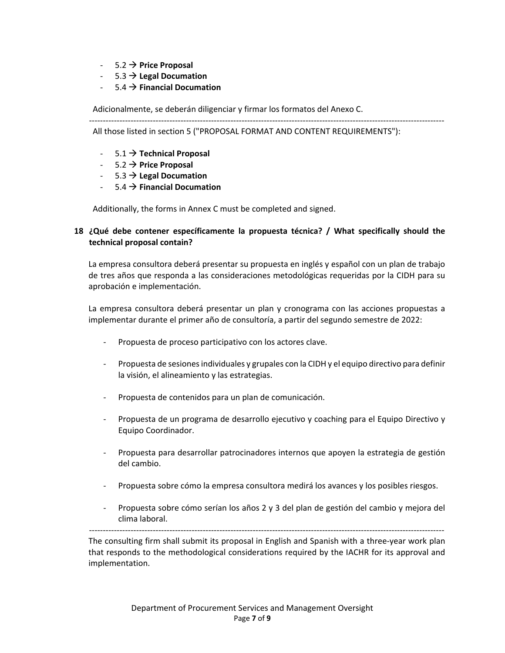- $-$  5.2  $\rightarrow$  Price Proposal
- $-$  5.3  $\rightarrow$  Legal Documation
- ‐ 5.4 **Financial Documation**

Adicionalmente, se deberán diligenciar y firmar los formatos del Anexo C. ‐‐‐‐‐‐‐‐‐‐‐‐‐‐‐‐‐‐‐‐‐‐‐‐‐‐‐‐‐‐‐‐‐‐‐‐‐‐‐‐‐‐‐‐‐‐‐‐‐‐‐‐‐‐‐‐‐‐‐‐‐‐‐‐‐‐‐‐‐‐‐‐‐‐‐‐‐‐‐‐‐‐‐‐‐‐‐‐‐‐‐‐‐‐‐‐‐‐‐‐‐‐‐‐‐‐‐‐‐‐‐‐‐‐‐‐‐‐‐‐‐‐‐‐‐‐‐‐

All those listed in section 5 ("PROPOSAL FORMAT AND CONTENT REQUIREMENTS"):

- $-5.1 \rightarrow$  Technical Proposal
- $-$  5.2  $\rightarrow$  Price Proposal
- $-$  5.3  $\rightarrow$  Legal Documation
- ‐ 5.4 **Financial Documation**

Additionally, the forms in Annex C must be completed and signed.

#### **18 ¿Qué debe contener específicamente la propuesta técnica? / What specifically should the technical proposal contain?**

La empresa consultora deberá presentar su propuesta en inglés y español con un plan de trabajo de tres años que responda a las consideraciones metodológicas requeridas por la CIDH para su aprobación e implementación.

La empresa consultora deberá presentar un plan y cronograma con las acciones propuestas a implementar durante el primer año de consultoría, a partir del segundo semestre de 2022:

- ‐ Propuesta de proceso participativo con los actores clave.
- ‐ Propuesta de sesiones individuales y grupales con la CIDH y el equipo directivo para definir la visión, el alineamiento y las estrategias.
- ‐ Propuesta de contenidos para un plan de comunicación.
- ‐ Propuesta de un programa de desarrollo ejecutivo y coaching para el Equipo Directivo y Equipo Coordinador.
- ‐ Propuesta para desarrollar patrocinadores internos que apoyen la estrategia de gestión del cambio.
- ‐ Propuesta sobre cómo la empresa consultora medirá los avances y los posibles riesgos.
- ‐ Propuesta sobre cómo serían los años 2 y 3 del plan de gestión del cambio y mejora del clima laboral.

‐‐‐‐‐‐‐‐‐‐‐‐‐‐‐‐‐‐‐‐‐‐‐‐‐‐‐‐‐‐‐‐‐‐‐‐‐‐‐‐‐‐‐‐‐‐‐‐‐‐‐‐‐‐‐‐‐‐‐‐‐‐‐‐‐‐‐‐‐‐‐‐‐‐‐‐‐‐‐‐‐‐‐‐‐‐‐‐‐‐‐‐‐‐‐‐‐‐‐‐‐‐‐‐‐‐‐‐‐‐‐‐‐‐‐‐‐‐‐‐‐‐‐‐‐‐‐‐ The consulting firm shall submit its proposal in English and Spanish with a three‐year work plan that responds to the methodological considerations required by the IACHR for its approval and implementation.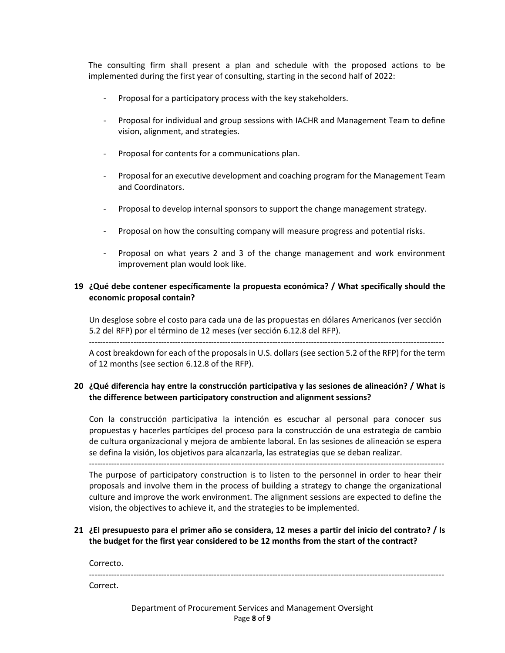The consulting firm shall present a plan and schedule with the proposed actions to be implemented during the first year of consulting, starting in the second half of 2022:

- ‐ Proposal for a participatory process with the key stakeholders.
- ‐ Proposal for individual and group sessions with IACHR and Management Team to define vision, alignment, and strategies.
- ‐ Proposal for contents for a communications plan.
- ‐ Proposal for an executive development and coaching program for the Management Team and Coordinators.
- ‐ Proposal to develop internal sponsors to support the change management strategy.
- ‐ Proposal on how the consulting company will measure progress and potential risks.
- Proposal on what years 2 and 3 of the change management and work environment improvement plan would look like.

# **19 ¿Qué debe contener específicamente la propuesta económica? / What specifically should the economic proposal contain?**

Un desglose sobre el costo para cada una de las propuestas en dólares Americanos (ver sección 5.2 del RFP) por el término de 12 meses (ver sección 6.12.8 del RFP).

‐‐‐‐‐‐‐‐‐‐‐‐‐‐‐‐‐‐‐‐‐‐‐‐‐‐‐‐‐‐‐‐‐‐‐‐‐‐‐‐‐‐‐‐‐‐‐‐‐‐‐‐‐‐‐‐‐‐‐‐‐‐‐‐‐‐‐‐‐‐‐‐‐‐‐‐‐‐‐‐‐‐‐‐‐‐‐‐‐‐‐‐‐‐‐‐‐‐‐‐‐‐‐‐‐‐‐‐‐‐‐‐‐‐‐‐‐‐‐‐‐‐‐‐‐‐‐‐

A cost breakdown for each of the proposals in U.S. dollars (see section 5.2 of the RFP) for the term of 12 months (see section 6.12.8 of the RFP).

# **20 ¿Qué diferencia hay entre la construcción participativa y las sesiones de alineación? / What is the difference between participatory construction and alignment sessions?**

Con la construcción participativa la intención es escuchar al personal para conocer sus propuestas y hacerles partícipes del proceso para la construcción de una estrategia de cambio de cultura organizacional y mejora de ambiente laboral. En las sesiones de alineación se espera se defina la visión, los objetivos para alcanzarla, las estrategias que se deban realizar.

‐‐‐‐‐‐‐‐‐‐‐‐‐‐‐‐‐‐‐‐‐‐‐‐‐‐‐‐‐‐‐‐‐‐‐‐‐‐‐‐‐‐‐‐‐‐‐‐‐‐‐‐‐‐‐‐‐‐‐‐‐‐‐‐‐‐‐‐‐‐‐‐‐‐‐‐‐‐‐‐‐‐‐‐‐‐‐‐‐‐‐‐‐‐‐‐‐‐‐‐‐‐‐‐‐‐‐‐‐‐‐‐‐‐‐‐‐‐‐‐‐‐‐‐‐‐‐‐

The purpose of participatory construction is to listen to the personnel in order to hear their proposals and involve them in the process of building a strategy to change the organizational culture and improve the work environment. The alignment sessions are expected to define the vision, the objectives to achieve it, and the strategies to be implemented.

### **21 ¿El presupuesto para el primer año se considera, 12 meses a partir del inicio del contrato? / Is the budget for the first year considered to be 12 months from the start of the contract?**

Correcto.

‐‐‐‐‐‐‐‐‐‐‐‐‐‐‐‐‐‐‐‐‐‐‐‐‐‐‐‐‐‐‐‐‐‐‐‐‐‐‐‐‐‐‐‐‐‐‐‐‐‐‐‐‐‐‐‐‐‐‐‐‐‐‐‐‐‐‐‐‐‐‐‐‐‐‐‐‐‐‐‐‐‐‐‐‐‐‐‐‐‐‐‐‐‐‐‐‐‐‐‐‐‐‐‐‐‐‐‐‐‐‐‐‐‐‐‐‐‐‐‐‐‐‐‐‐‐‐‐ Correct.